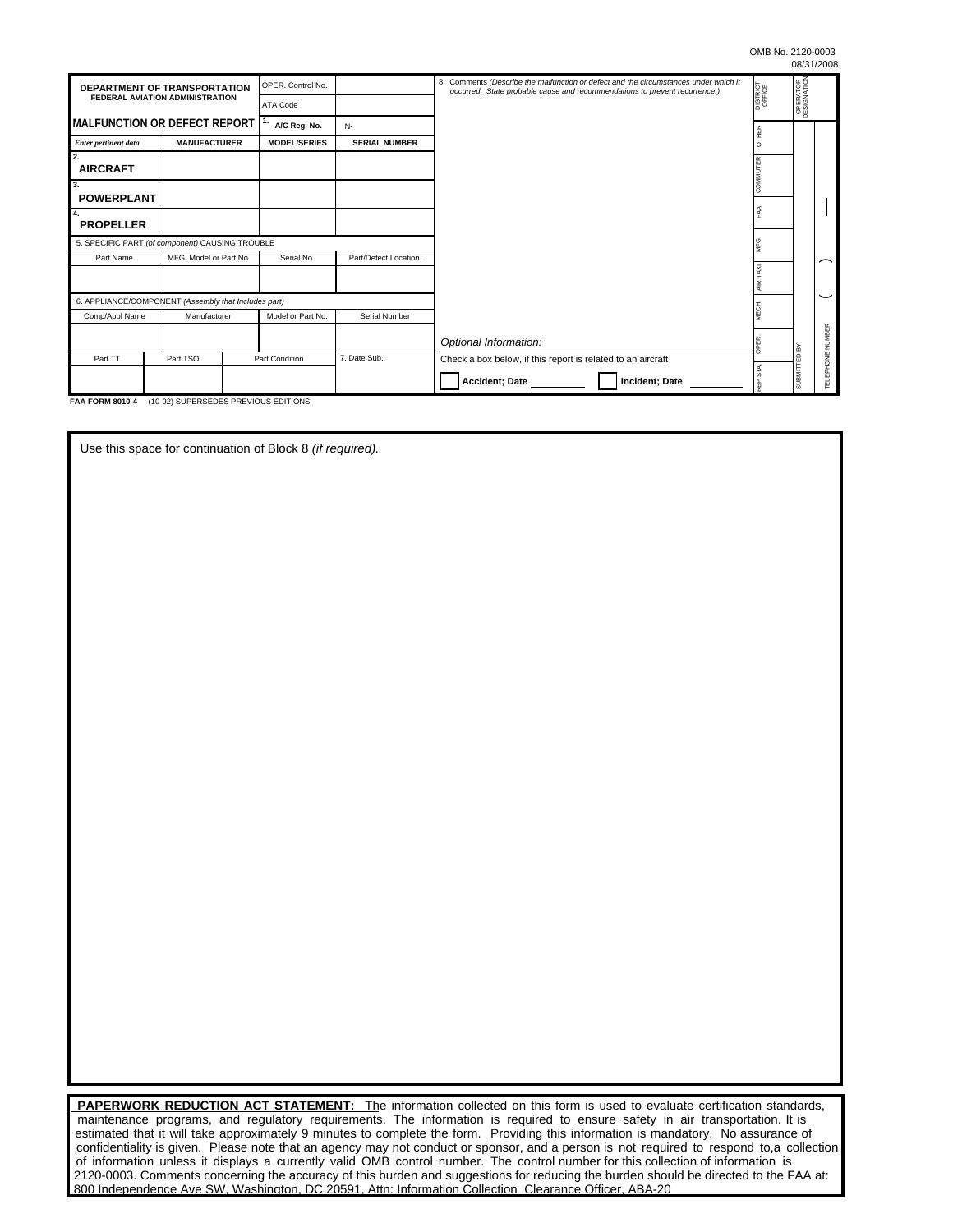| DEPARTMENT OF TRANSPORTATION<br><b>FEDERAL AVIATION ADMINISTRATION</b> |                     |                | OPER. Control No.     |                      | 8. Comments (Describe the malfunction or defect and the circumstances under which it<br>occurred. State probable cause and recommendations to prevent recurrence.) | DISTRICT<br>OFFICE | OPERATOR<br>DESIGNATION |                  |
|------------------------------------------------------------------------|---------------------|----------------|-----------------------|----------------------|--------------------------------------------------------------------------------------------------------------------------------------------------------------------|--------------------|-------------------------|------------------|
|                                                                        |                     |                | <b>ATA Code</b>       |                      |                                                                                                                                                                    |                    |                         |                  |
| IMALFUNCTION OR DEFECT REPORT I <sup>1.</sup>                          |                     |                | A/C Reg. No.          | $N-$                 |                                                                                                                                                                    | ₩                  |                         |                  |
| <b>Enter pertinent data</b>                                            | <b>MANUFACTURER</b> |                | <b>MODEL/SERIES</b>   | <b>SERIAL NUMBER</b> |                                                                                                                                                                    |                    |                         |                  |
| 2.<br><b>AIRCRAFT</b>                                                  |                     |                |                       |                      |                                                                                                                                                                    | UTER               |                         |                  |
| 3.<br><b>POWERPLANT</b>                                                |                     |                |                       |                      |                                                                                                                                                                    |                    |                         |                  |
| 4.                                                                     |                     |                |                       |                      |                                                                                                                                                                    |                    |                         |                  |
| <b>PROPELLER</b>                                                       |                     |                |                       |                      |                                                                                                                                                                    |                    |                         |                  |
| 5. SPECIFIC PART (of component) CAUSING TROUBLE                        |                     |                |                       |                      |                                                                                                                                                                    |                    |                         |                  |
| MFG. Model or Part No.<br>Part Name                                    |                     | Serial No.     | Part/Defect Location. |                      |                                                                                                                                                                    |                    |                         |                  |
|                                                                        |                     |                |                       |                      |                                                                                                                                                                    | AXI                |                         |                  |
| 6. APPLIANCE/COMPONENT (Assembly that Includes part)                   |                     |                |                       |                      |                                                                                                                                                                    |                    |                         |                  |
| Comp/Appl Name                                                         |                     | Manufacturer   |                       | Serial Number        |                                                                                                                                                                    |                    |                         |                  |
|                                                                        |                     |                |                       |                      | Optional Information:                                                                                                                                              |                    | Ιš                      | TELEPHONE NUMBER |
| Part TT                                                                | Part TSO            | Part Condition |                       | 7. Date Sub.         | Check a box below, if this report is related to an aircraft                                                                                                        |                    | $\Omega$                |                  |
|                                                                        |                     |                |                       |                      | Accident; Date<br>Incident; Date                                                                                                                                   |                    | <b>TINRUS</b>           |                  |

**FAA FORM 8010-4** (10-92) SUPERSEDES PREVIOUS EDITIONS

Use this space for continuation of Block 8 *(if required).* 

**PAPERWORK REDUCTION ACT STATEMENT:** The information collected on this form is used to evaluate certification standards, maintenance programs, and regulatory requirements. The information is required to ensure safety in air transportation. It is estimated that it will take approximately 9 minutes to complete the form. Providing this information is mandatory. No assurance of confidentiality is given. Please note that an agency may not conduct or sponsor, and a person is not required to respond to,a collection of information unless it displays a currently valid OMB control number. The control number for this collection of information is 2120-0003. Comments concerning the accuracy of this burden and suggestions for reducing the burden should be directed to the FAA at: 800 Independence Ave SW, Washington, DC 20591, Attn: Information Collection Clearance Officer, ABA-20